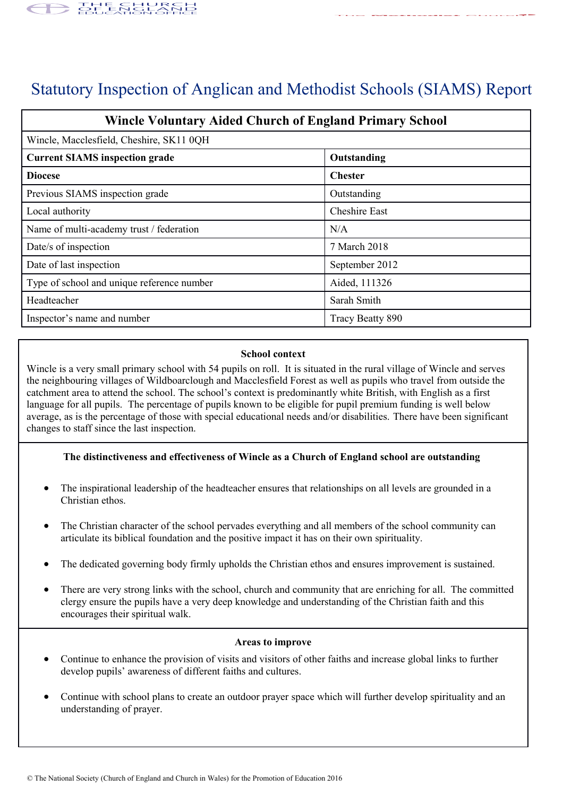

# Statutory Inspection of Anglican and Methodist Schools (SIAMS) Report

| <b>Wincle Voluntary Aided Church of England Primary School</b> |                      |
|----------------------------------------------------------------|----------------------|
| Wincle, Macclesfield, Cheshire, SK11 0QH                       |                      |
| <b>Current SIAMS inspection grade</b>                          | Outstanding          |
| <b>Diocese</b>                                                 | <b>Chester</b>       |
| Previous SIAMS inspection grade                                | Outstanding          |
| Local authority                                                | <b>Cheshire East</b> |
| Name of multi-academy trust / federation                       | N/A                  |
| Date/s of inspection                                           | 7 March 2018         |
| Date of last inspection                                        | September 2012       |
| Type of school and unique reference number                     | Aided, 111326        |
| Headteacher                                                    | Sarah Smith          |
| Inspector's name and number                                    | Tracy Beatty 890     |

# **School context**

Wincle is a very small primary school with 54 pupils on roll. It is situated in the rural village of Wincle and serves the neighbouring villages of Wildboarclough and Macclesfield Forest as well as pupils who travel from outside the catchment area to attend the school. The school's context is predominantly white British, with English as a first language for all pupils. The percentage of pupils known to be eligible for pupil premium funding is well below average, as is the percentage of those with special educational needs and/or disabilities. There have been significant changes to staff since the last inspection.

# **The distinctiveness and effectiveness of Wincle as a Church of England school are outstanding**

- The inspirational leadership of the headteacher ensures that relationships on all levels are grounded in a Christian ethos.
- The Christian character of the school pervades everything and all members of the school community can articulate its biblical foundation and the positive impact it has on their own spirituality.
- The dedicated governing body firmly upholds the Christian ethos and ensures improvement is sustained.
- There are very strong links with the school, church and community that are enriching for all. The committed clergy ensure the pupils have a very deep knowledge and understanding of the Christian faith and this encourages their spiritual walk.

#### **Areas to improve**

- Continue to enhance the provision of visits and visitors of other faiths and increase global links to further develop pupils' awareness of different faiths and cultures.
- Continue with school plans to create an outdoor prayer space which will further develop spirituality and an understanding of prayer.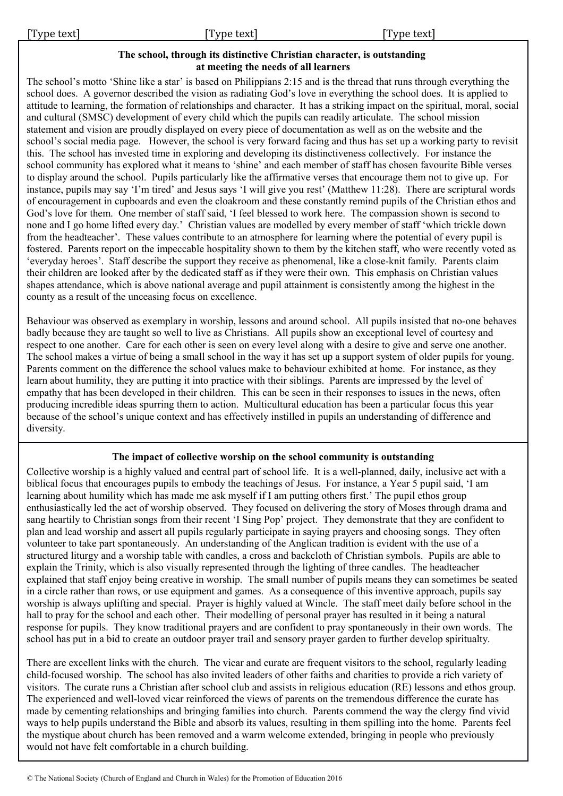# **The school, through its distinctive Christian character, is outstanding at meeting the needs of all learners**

The school's motto 'Shine like a star' is based on Philippians 2:15 and is the thread that runs through everything the school does. A governor described the vision as radiating God's love in everything the school does. It is applied to attitude to learning, the formation of relationships and character. It has a striking impact on the spiritual, moral, social and cultural (SMSC) development of every child which the pupils can readily articulate. The school mission statement and vision are proudly displayed on every piece of documentation as well as on the website and the school's social media page. However, the school is very forward facing and thus has set up a working party to revisit this. The school has invested time in exploring and developing its distinctiveness collectively. For instance the school community has explored what it means to 'shine' and each member of staff has chosen favourite Bible verses to display around the school. Pupils particularly like the affirmative verses that encourage them not to give up. For instance, pupils may say 'I'm tired' and Jesus says 'I will give you rest' (Matthew 11:28). There are scriptural words of encouragement in cupboards and even the cloakroom and these constantly remind pupils of the Christian ethos and God's love for them. One member of staff said, 'I feel blessed to work here. The compassion shown is second to none and I go home lifted every day.' Christian values are modelled by every member of staff 'which trickle down from the headteacher'. These values contribute to an atmosphere for learning where the potential of every pupil is fostered. Parents report on the impeccable hospitality shown to them by the kitchen staff, who were recently voted as 'everyday heroes'. Staff describe the support they receive as phenomenal, like a close-knit family. Parents claim their children are looked after by the dedicated staff as if they were their own. This emphasis on Christian values shapes attendance, which is above national average and pupil attainment is consistently among the highest in the county as a result of the unceasing focus on excellence.

Behaviour was observed as exemplary in worship, lessons and around school. All pupils insisted that no-one behaves badly because they are taught so well to live as Christians. All pupils show an exceptional level of courtesy and respect to one another. Care for each other is seen on every level along with a desire to give and serve one another. The school makes a virtue of being a small school in the way it has set up a support system of older pupils for young. Parents comment on the difference the school values make to behaviour exhibited at home. For instance, as they learn about humility, they are putting it into practice with their siblings. Parents are impressed by the level of empathy that has been developed in their children. This can be seen in their responses to issues in the news, often producing incredible ideas spurring them to action. Multicultural education has been a particular focus this year because of the school's unique context and has effectively instilled in pupils an understanding of difference and diversity.

# **The impact of collective worship on the school community is outstanding**

Collective worship is a highly valued and central part of school life. It is a well-planned, daily, inclusive act with a biblical focus that encourages pupils to embody the teachings of Jesus. For instance, a Year 5 pupil said, 'I am learning about humility which has made me ask myself if I am putting others first.' The pupil ethos group enthusiastically led the act of worship observed. They focused on delivering the story of Moses through drama and sang heartily to Christian songs from their recent 'I Sing Pop' project. They demonstrate that they are confident to plan and lead worship and assert all pupils regularly participate in saying prayers and choosing songs. They often volunteer to take part spontaneously. An understanding of the Anglican tradition is evident with the use of a structured liturgy and a worship table with candles, a cross and backcloth of Christian symbols. Pupils are able to explain the Trinity, which is also visually represented through the lighting of three candles. The headteacher explained that staff enjoy being creative in worship. The small number of pupils means they can sometimes be seated in a circle rather than rows, or use equipment and games. As a consequence of this inventive approach, pupils say worship is always uplifting and special. Prayer is highly valued at Wincle. The staff meet daily before school in the hall to pray for the school and each other. Their modelling of personal prayer has resulted in it being a natural response for pupils. They know traditional prayers and are confident to pray spontaneously in their own words. The school has put in a bid to create an outdoor prayer trail and sensory prayer garden to further develop spiritualty.

There are excellent links with the church. The vicar and curate are frequent visitors to the school, regularly leading child-focused worship. The school has also invited leaders of other faiths and charities to provide a rich variety of visitors. The curate runs a Christian after school club and assists in religious education (RE) lessons and ethos group. The experienced and well-loved vicar reinforced the views of parents on the tremendous difference the curate has made by cementing relationships and bringing families into church. Parents commend the way the clergy find vivid ways to help pupils understand the Bible and absorb its values, resulting in them spilling into the home. Parents feel the mystique about church has been removed and a warm welcome extended, bringing in people who previously would not have felt comfortable in a church building.